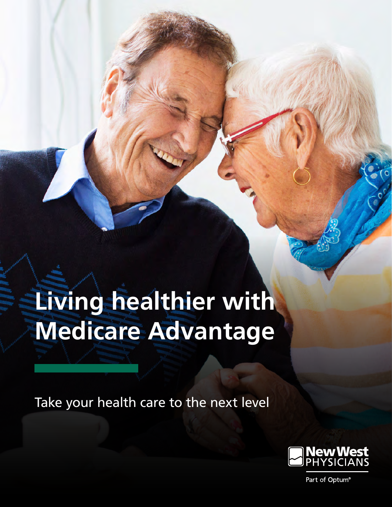# **Living healthier with Medicare Advantage**

Take your health care to the next level

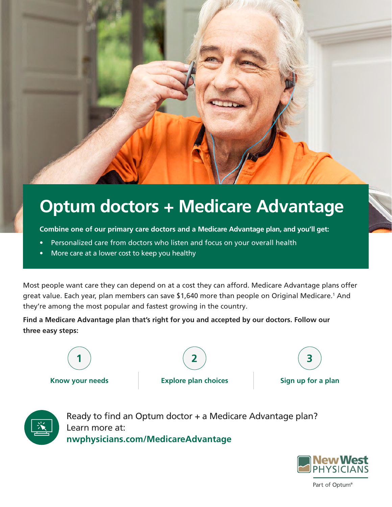

**Combine one of our primary care doctors and a Medicare Advantage plan, and you'll get:**

- Personalized care from doctors who listen and focus on your overall health
- More care at a lower cost to keep you healthy

Most people want care they can depend on at a cost they can afford. Medicare Advantage plans offer great value. Each year, plan members can save \$1,640 more than people on Original Medicare.<sup>1</sup> And they're among the most popular and fastest growing in the country.

**Find a Medicare Advantage plan that's right for you and accepted by our doctors. Follow our three easy steps:**



**1 2 3**



Ready to find an Optum doctor + a Medicare Advantage plan? Learn more at: **[nwphysicians.com/MedicareAdvantage](http://nwphysicians.com/MedicareAdvantage)**

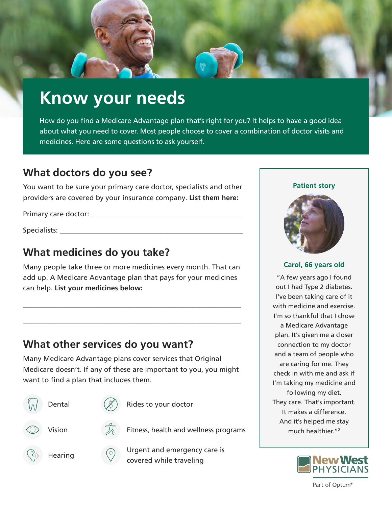

## **Know your needs**

How do you find a Medicare Advantage plan that's right for you? It helps to have a good idea about what you need to cover. Most people choose to cover a combination of doctor visits and medicines. Here are some questions to ask yourself.

## **What doctors do you see?**

You want to be sure your primary care doctor, specialists and other providers are covered by your insurance company. **List them here:**

Primary care doctor: \_\_\_\_\_\_\_\_\_\_\_\_\_\_\_\_\_\_\_\_\_\_\_\_\_\_\_\_\_\_\_\_\_\_\_\_\_\_\_\_\_\_\_

Specialists:

## **What medicines do you take?**

Many people take three or more medicines every month. That can add up. A Medicare Advantage plan that pays for your medicines can help. **List your medicines below:**

\_\_\_\_\_\_\_\_\_\_\_\_\_\_\_\_\_\_\_\_\_\_\_\_\_\_\_\_\_\_\_\_\_\_\_\_\_\_\_\_\_\_\_\_\_\_\_\_\_\_\_\_\_\_\_\_\_\_\_\_\_\_

\_\_\_\_\_\_\_\_\_\_\_\_\_\_\_\_\_\_\_\_\_\_\_\_\_\_\_\_\_\_\_\_\_\_\_\_\_\_\_\_\_\_\_\_\_\_\_\_\_\_\_\_\_\_\_\_\_\_\_\_\_\_

## **What other services do you want?**

Many Medicare Advantage plans cover services that Original Medicare doesn't. If any of these are important to you, you might want to find a plan that includes them.





Dental  $(\mathscr{L})$  Rides to your doctor

Hearing  $\circled{}$  Urgent and emergency care is covered while traveling

#### **Patient story**



#### **Carol, 66 years old**

"A few years ago I found out I had Type 2 diabetes. I've been taking care of it with medicine and exercise. I'm so thankful that I chose a Medicare Advantage plan. It's given me a closer connection to my doctor and a team of people who are caring for me. They check in with me and ask if I'm taking my medicine and following my diet. They care. That's important. It makes a difference. And it's helped me stay much healthier."2

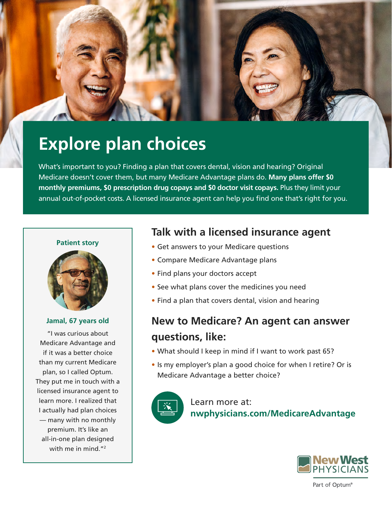

## **Explore plan choices**

What's important to you? Finding a plan that covers dental, vision and hearing? Original Medicare doesn't cover them, but many Medicare Advantage plans do. **Many plans offer \$0 monthly premiums, \$0 prescription drug copays and \$0 doctor visit copays.** Plus they limit your annual out-of-pocket costs. A licensed insurance agent can help you find one that's right for you.

#### **Patient story**



#### **Jamal, 67 years old**

"I was curious about Medicare Advantage and if it was a better choice than my current Medicare plan, so I called Optum. They put me in touch with a licensed insurance agent to learn more. I realized that I actually had plan choices — many with no monthly premium. It's like an all-in-one plan designed with me in mind  $"2$ 

### **Talk with a licensed insurance agent**

- Get answers to your Medicare questions
- Compare Medicare Advantage plans
- Find plans your doctors accept
- See what plans cover the medicines you need
- Find a plan that covers dental, vision and hearing

## **New to Medicare? An agent can answer questions, like:**

- What should I keep in mind if I want to work past 65?
- Is my employer's plan a good choice for when I retire? Or is Medicare Advantage a better choice?



Learn more at: **[nwphysicians.com/MedicareAdvantage](http://nwphysicians.com/MedicareAdvantage)**

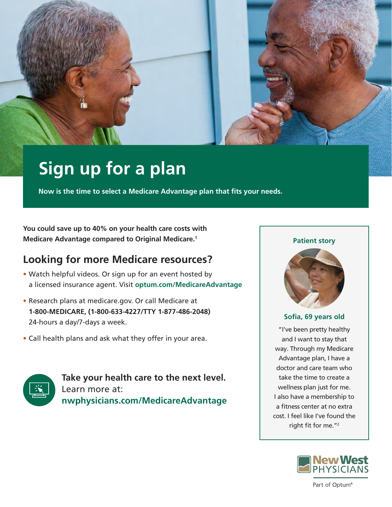

## **Sign up for a plan**

**Now is the time to select a Medicare Advantage plan that fits your needs.** 

**You could save up to 40% on your health care costs with Medicare Advantage compared to Original Medicare.1**

## **Looking for more Medicare resources?**

- Watch helpful videos. Or sign up for an event hosted by a licensed insurance agent. Visit **[optum.com/MedicareAdvantage](http://optum.com/MedicareAdvantage)**
- Research plans at [medicare.gov.](http://medicare.gov) Or call Medicare at **1-800-MEDICARE, (1-800-633-4227/TTY 1-877-486-2048)**  24-hours a day/7-days a week.
- Call health plans and ask what they offer in your area.



**Take your health care to the next level.** Learn more at: **[nwphysicians.com/MedicareAdvantage](http://nwphysicians.com/MedicareAdvantage)**

#### **Patient story**



#### **Sofia, 69 years old**

"I've been pretty healthy and I want to stay that way. Through my Medicare Advantage plan, I have a doctor and care team who take the time to create a wellness plan just for me. I also have a membership to a fitness center at no extra cost. I feel like I've found the right fit for me."2